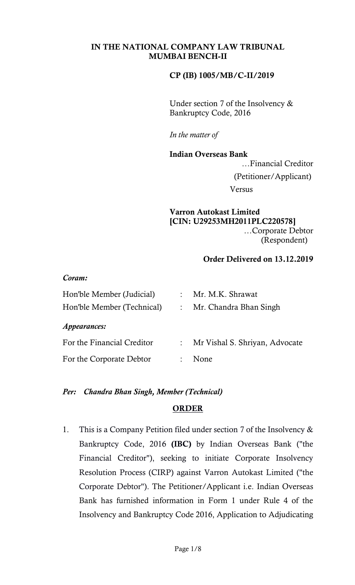## CP (IB) 1005/MB/C-II/2019

Under section 7 of the Insolvency & Bankruptcy Code, 2016

*In the matter of*

Indian Overseas Bank …Financial Creditor (Petitioner/Applicant) Versus

## Varron Autokast Limited [CIN: U29253MH2011PLC220578] …Corporate Debtor (Respondent)

## Order Delivered on 13.12.2019

| Coram: |                |
|--------|----------------|
|        | Hon'ble Member |

| Hon'ble Member (Judicial)  |                           | : Mr. M.K. Shrawat             |
|----------------------------|---------------------------|--------------------------------|
| Hon'ble Member (Technical) |                           | Mr. Chandra Bhan Singh         |
| <i>Appearances:</i>        |                           |                                |
| For the Financial Creditor | $\mathbb{R}^{\mathbb{Z}}$ | Mr Vishal S. Shriyan, Advocate |
| For the Corporate Debtor   |                           | None                           |

## *Per: Chandra Bhan Singh, Member (Technical)*

## **ORDER**

1. This is a Company Petition filed under section 7 of the Insolvency & Bankruptcy Code, 2016 (IBC) by Indian Overseas Bank ("the Financial Creditor"), seeking to initiate Corporate Insolvency Resolution Process (CIRP) against Varron Autokast Limited ("the Corporate Debtor"). The Petitioner/Applicant i.e. Indian Overseas Bank has furnished information in Form 1 under Rule 4 of the Insolvency and Bankruptcy Code 2016, Application to Adjudicating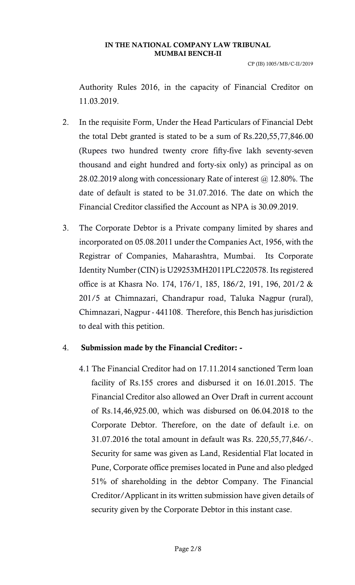CP (IB) 1005/MB/C-II/2019

Authority Rules 2016, in the capacity of Financial Creditor on 11.03.2019.

- 2. In the requisite Form, Under the Head Particulars of Financial Debt the total Debt granted is stated to be a sum of Rs.220,55,77,846.00 (Rupees two hundred twenty crore fifty-five lakh seventy-seven thousand and eight hundred and forty-six only) as principal as on 28.02.2019 along with concessionary Rate of interest @ 12.80%. The date of default is stated to be 31.07.2016. The date on which the Financial Creditor classified the Account as NPA is 30.09.2019.
- 3. The Corporate Debtor is a Private company limited by shares and incorporated on 05.08.2011 under the Companies Act, 1956, with the Registrar of Companies, Maharashtra, Mumbai. Its Corporate Identity Number (CIN) is U29253MH2011PLC220578. Its registered office is at Khasra No. 174, 176/1, 185, 186/2, 191, 196, 201/2 & 201/5 at Chimnazari, Chandrapur road, Taluka Nagpur (rural), Chimnazari, Nagpur - 441108. Therefore, this Bench has jurisdiction to deal with this petition.

# 4. Submission made by the Financial Creditor: -

4.1 The Financial Creditor had on 17.11.2014 sanctioned Term loan facility of Rs.155 crores and disbursed it on 16.01.2015. The Financial Creditor also allowed an Over Draft in current account of Rs.14,46,925.00, which was disbursed on 06.04.2018 to the Corporate Debtor. Therefore, on the date of default i.e. on 31.07.2016 the total amount in default was Rs. 220,55,77,846/-. Security for same was given as Land, Residential Flat located in Pune, Corporate office premises located in Pune and also pledged 51% of shareholding in the debtor Company. The Financial Creditor/Applicant in its written submission have given details of security given by the Corporate Debtor in this instant case.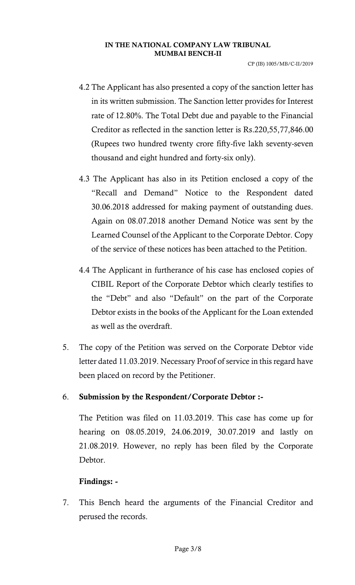CP (IB) 1005/MB/C-II/2019

- 4.2 The Applicant has also presented a copy of the sanction letter has in its written submission. The Sanction letter provides for Interest rate of 12.80%. The Total Debt due and payable to the Financial Creditor as reflected in the sanction letter is Rs.220,55,77,846.00 (Rupees two hundred twenty crore fifty-five lakh seventy-seven thousand and eight hundred and forty-six only).
- 4.3 The Applicant has also in its Petition enclosed a copy of the "Recall and Demand" Notice to the Respondent dated 30.06.2018 addressed for making payment of outstanding dues. Again on 08.07.2018 another Demand Notice was sent by the Learned Counsel of the Applicant to the Corporate Debtor. Copy of the service of these notices has been attached to the Petition.
- 4.4 The Applicant in furtherance of his case has enclosed copies of CIBIL Report of the Corporate Debtor which clearly testifies to the "Debt" and also "Default" on the part of the Corporate Debtor exists in the books of the Applicant for the Loan extended as well as the overdraft.
- 5. The copy of the Petition was served on the Corporate Debtor vide letter dated 11.03.2019. Necessary Proof of service in this regard have been placed on record by the Petitioner.

# 6. Submission by the Respondent/Corporate Debtor :-

The Petition was filed on 11.03.2019. This case has come up for hearing on 08.05.2019, 24.06.2019, 30.07.2019 and lastly on 21.08.2019. However, no reply has been filed by the Corporate Debtor.

# Findings: -

7. This Bench heard the arguments of the Financial Creditor and perused the records.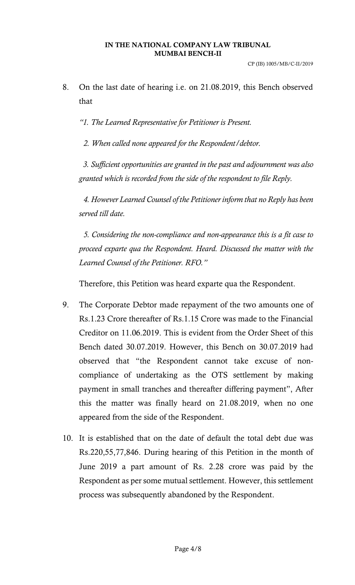8. On the last date of hearing i.e. on 21.08.2019, this Bench observed that

*"1. The Learned Representative for Petitioner is Present.*

*2. When called none appeared for the Respondent/debtor.* 

*3. Sufficient opportunities are granted in the past and adjournment was also granted which is recorded from the side of the respondent to file Reply.* 

*4. However Learned Counsel of the Petitioner inform that no Reply has been served till date.* 

*5. Considering the non-compliance and non-appearance this is a fit case to proceed exparte qua the Respondent. Heard. Discussed the matter with the Learned Counsel of the Petitioner. RFO."* 

Therefore, this Petition was heard exparte qua the Respondent.

- 9. The Corporate Debtor made repayment of the two amounts one of Rs.1.23 Crore thereafter of Rs.1.15 Crore was made to the Financial Creditor on 11.06.2019. This is evident from the Order Sheet of this Bench dated 30.07.2019. However, this Bench on 30.07.2019 had observed that "the Respondent cannot take excuse of noncompliance of undertaking as the OTS settlement by making payment in small tranches and thereafter differing payment", After this the matter was finally heard on 21.08.2019, when no one appeared from the side of the Respondent.
- 10. It is established that on the date of default the total debt due was Rs.220,55,77,846. During hearing of this Petition in the month of June 2019 a part amount of Rs. 2.28 crore was paid by the Respondent as per some mutual settlement. However, this settlement process was subsequently abandoned by the Respondent.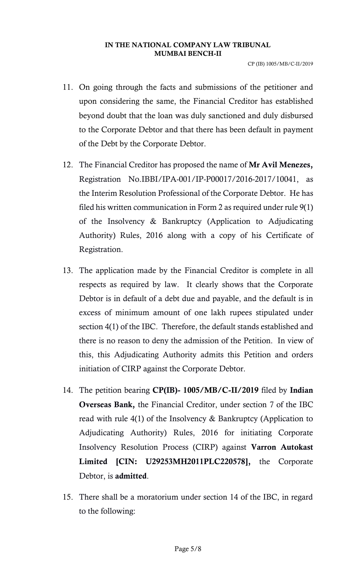CP (IB) 1005/MB/C-II/2019

- 11. On going through the facts and submissions of the petitioner and upon considering the same, the Financial Creditor has established beyond doubt that the loan was duly sanctioned and duly disbursed to the Corporate Debtor and that there has been default in payment of the Debt by the Corporate Debtor.
- 12. The Financial Creditor has proposed the name of Mr Avil Menezes, Registration No.IBBI/IPA-001/IP-P00017/2016-2017/10041, as the Interim Resolution Professional of the Corporate Debtor. He has filed his written communication in Form 2 as required under rule 9(1) of the Insolvency & Bankruptcy (Application to Adjudicating Authority) Rules, 2016 along with a copy of his Certificate of Registration.
- 13. The application made by the Financial Creditor is complete in all respects as required by law. It clearly shows that the Corporate Debtor is in default of a debt due and payable, and the default is in excess of minimum amount of one lakh rupees stipulated under section 4(1) of the IBC. Therefore, the default stands established and there is no reason to deny the admission of the Petition. In view of this, this Adjudicating Authority admits this Petition and orders initiation of CIRP against the Corporate Debtor.
- 14. The petition bearing CP(IB)- 1005/MB/C-II/2019 filed by Indian Overseas Bank, the Financial Creditor, under section 7 of the IBC read with rule 4(1) of the Insolvency & Bankruptcy (Application to Adjudicating Authority) Rules, 2016 for initiating Corporate Insolvency Resolution Process (CIRP) against Varron Autokast Limited [CIN: U29253MH2011PLC220578], the Corporate Debtor, is admitted.
- 15. There shall be a moratorium under section 14 of the IBC, in regard to the following: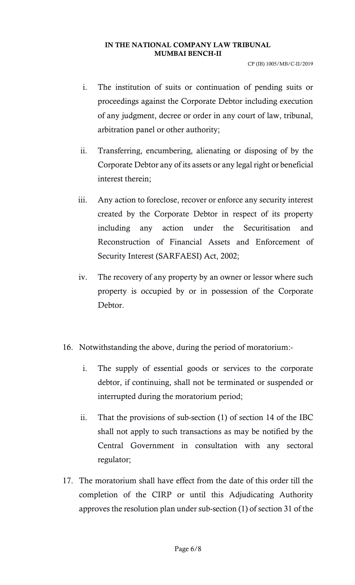CP (IB) 1005/MB/C-II/2019

- i. The institution of suits or continuation of pending suits or proceedings against the Corporate Debtor including execution of any judgment, decree or order in any court of law, tribunal, arbitration panel or other authority;
- ii. Transferring, encumbering, alienating or disposing of by the Corporate Debtor any of its assets or any legal right or beneficial interest therein;
- iii. Any action to foreclose, recover or enforce any security interest created by the Corporate Debtor in respect of its property including any action under the Securitisation and Reconstruction of Financial Assets and Enforcement of Security Interest (SARFAESI) Act, 2002;
- iv. The recovery of any property by an owner or lessor where such property is occupied by or in possession of the Corporate Debtor.
- 16. Notwithstanding the above, during the period of moratorium:
	- i. The supply of essential goods or services to the corporate debtor, if continuing, shall not be terminated or suspended or interrupted during the moratorium period;
	- ii. That the provisions of sub-section (1) of section 14 of the IBC shall not apply to such transactions as may be notified by the Central Government in consultation with any sectoral regulator;
- 17. The moratorium shall have effect from the date of this order till the completion of the CIRP or until this Adjudicating Authority approves the resolution plan under sub-section (1) of section 31 of the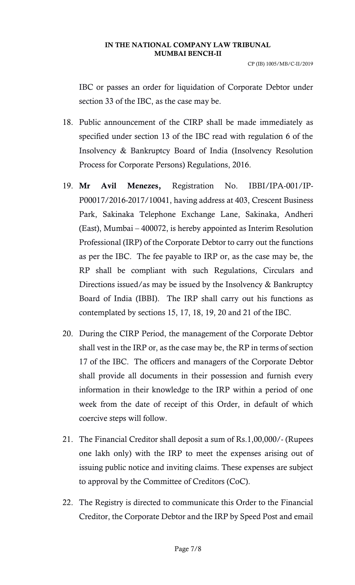CP (IB) 1005/MB/C-II/2019

IBC or passes an order for liquidation of Corporate Debtor under section 33 of the IBC, as the case may be.

- 18. Public announcement of the CIRP shall be made immediately as specified under section 13 of the IBC read with regulation 6 of the Insolvency & Bankruptcy Board of India (Insolvency Resolution Process for Corporate Persons) Regulations, 2016.
- 19. Mr Avil Menezes, Registration No. IBBI/IPA-001/IP-P00017/2016-2017/10041, having address at 403, Crescent Business Park, Sakinaka Telephone Exchange Lane, Sakinaka, Andheri (East), Mumbai – 400072, is hereby appointed as Interim Resolution Professional (IRP) of the Corporate Debtor to carry out the functions as per the IBC. The fee payable to IRP or, as the case may be, the RP shall be compliant with such Regulations, Circulars and Directions issued/as may be issued by the Insolvency & Bankruptcy Board of India (IBBI). The IRP shall carry out his functions as contemplated by sections 15, 17, 18, 19, 20 and 21 of the IBC.
- 20. During the CIRP Period, the management of the Corporate Debtor shall vest in the IRP or, as the case may be, the RP in terms of section 17 of the IBC. The officers and managers of the Corporate Debtor shall provide all documents in their possession and furnish every information in their knowledge to the IRP within a period of one week from the date of receipt of this Order, in default of which coercive steps will follow.
- 21. The Financial Creditor shall deposit a sum of Rs.1,00,000/- (Rupees one lakh only) with the IRP to meet the expenses arising out of issuing public notice and inviting claims. These expenses are subject to approval by the Committee of Creditors (CoC).
- 22. The Registry is directed to communicate this Order to the Financial Creditor, the Corporate Debtor and the IRP by Speed Post and email